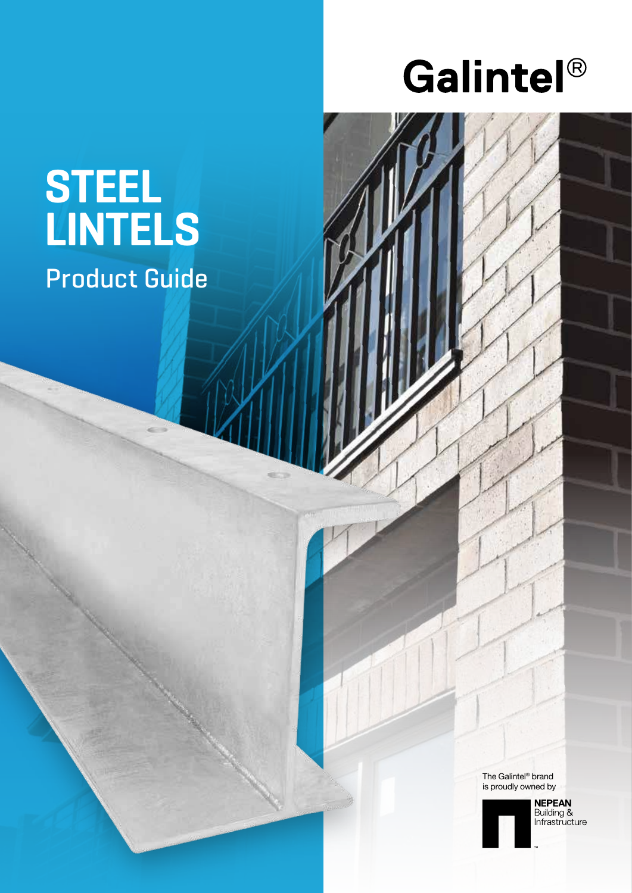# Galintel®

# **STEEL LINTELS**

Product Guide

The Galintel® brand is proudly owned by



**NEPEAN**<br>Building &<br>Infrastructure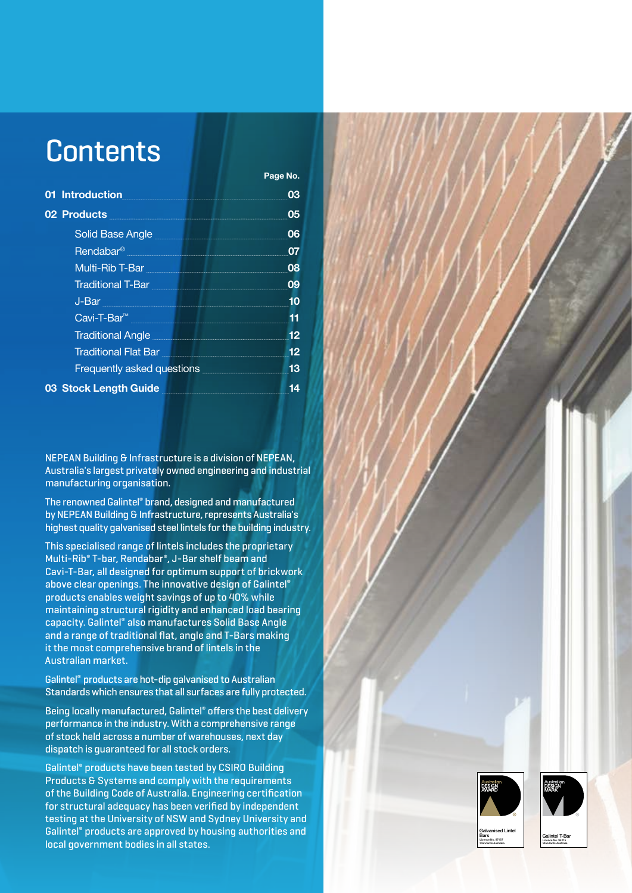# **Contents**

| <b>Introduction</b>                                                                                                                                                                                                                    | 03 |
|----------------------------------------------------------------------------------------------------------------------------------------------------------------------------------------------------------------------------------------|----|
| 02 Products                                                                                                                                                                                                                            | 05 |
| Solid Base Angle <b>Solid Base Angle</b>                                                                                                                                                                                               | 06 |
| Rendabar <sup>®</sup>                                                                                                                                                                                                                  | 07 |
| Multi-Rib T-Bar <b>Multi-Rib T-Bar</b>                                                                                                                                                                                                 | 08 |
| <b>Traditional T-Bar</b>                                                                                                                                                                                                               | 09 |
| $J-Bar$                                                                                                                                                                                                                                | 10 |
| Cavi-T-Bar <sup>™</sup> Particular Design Design Design Design Design Design Design Design Design Design Design Design Design Design Design Design Design Design Design Design Design Design Design Design Design Design Design Design | 11 |
| <b>Traditional Angle Contract of Traditional Angle</b>                                                                                                                                                                                 | 12 |
| Traditional Flat Bar                                                                                                                                                                                                                   | 12 |
| <b>Frequently asked questions</b>                                                                                                                                                                                                      | 13 |
| 03 Stock Length Guide                                                                                                                                                                                                                  | 14 |

**Page No.**

NEPEAN Building & Infrastructure is a division of NEPEAN, Australia's largest privately owned engineering and industrial manufacturing organisation.

The renowned Galintel® brand, designed and manufactured by NEPEAN Building & Infrastructure, represents Australia's highest quality galvanised steel lintels for the building industry.

This specialised range of lintels includes the proprietary Multi-Rib® T-bar, Rendabar® , J-Bar shelf beam and Cavi-T-Bar, all designed for optimum support of brickwork above clear openings. The innovative design of Galintel® products enables weight savings of up to 40% while maintaining structural rigidity and enhanced load bearing capacity. Galintel® also manufactures Solid Base Angle and a range of traditional flat, angle and T-Bars making it the most comprehensive brand of lintels in the Australian market.

Galintel® products are hot-dip galvanised to Australian Standards which ensures that all surfaces are fully protected.

Being locally manufactured, Galintel® offers the best delivery performance in the industry. With a comprehensive range of stock held across a number of warehouses, next day dispatch is guaranteed for all stock orders.

Galintel® products have been tested by CSIRO Building Products & Systems and comply with the requirements of the Building Code of Australia. Engineering certification for structural adequacy has been verified by independent testing at the University of NSW and Sydney University and Galintel® products are approved by housing authorities and local government bodies in all states.

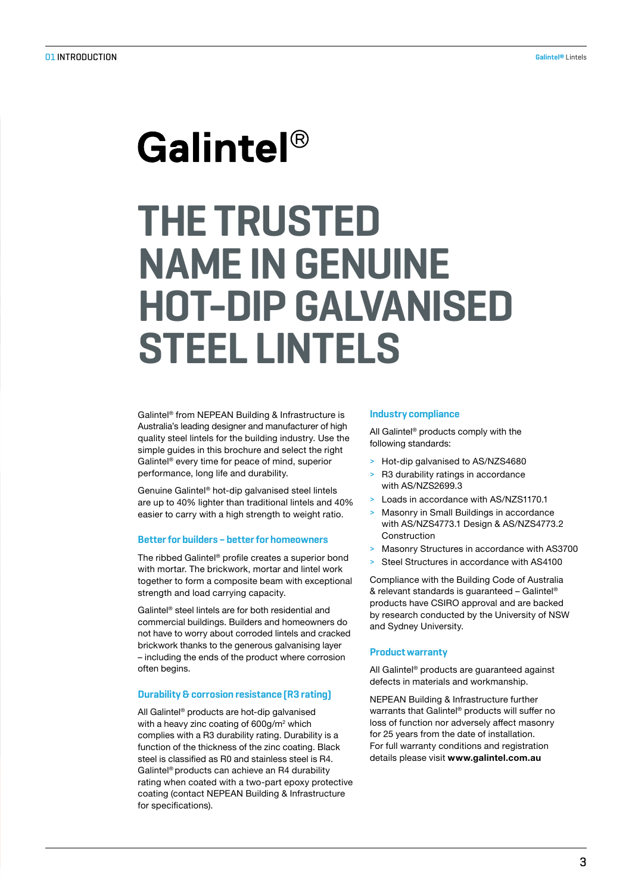# Galintel<sup>®</sup> **THE TRUSTED NAME IN GENUINE HOT-DIP GALVANISED STEEL LINTELS**

Galintel® from NEPEAN Building & Infrastructure is Australia's leading designer and manufacturer of high quality steel lintels for the building industry. Use the simple guides in this brochure and select the right Galintel® every time for peace of mind, superior performance, long life and durability.

Genuine Galintel® hot-dip galvanised steel lintels are up to 40% lighter than traditional lintels and 40% easier to carry with a high strength to weight ratio.

#### **Better for builders – better for homeowners**

The ribbed Galintel® profile creates a superior bond with mortar. The brickwork, mortar and lintel work together to form a composite beam with exceptional strength and load carrying capacity.

Galintel® steel lintels are for both residential and commercial buildings. Builders and homeowners do not have to worry about corroded lintels and cracked brickwork thanks to the generous galvanising layer – including the ends of the product where corrosion often begins.

#### **Durability & corrosion resistance (R3 rating)**

All Galintel® products are hot-dip galvanised with a heavy zinc coating of 600g/m<sup>2</sup> which complies with a R3 durability rating. Durability is a function of the thickness of the zinc coating. Black steel is classified as R0 and stainless steel is R4. Galintel® products can achieve an R4 durability rating when coated with a two-part epoxy protective coating (contact NEPEAN Building & Infrastructure for specifications).

#### **Industry compliance**

All Galintel® products comply with the following standards:

- > Hot-dip galvanised to AS/NZS4680
- R3 durability ratings in accordance with AS/NZS2699.3
- Loads in accordance with AS/NZS1170.1
- Masonry in Small Buildings in accordance with AS/NZS4773.1 Design & AS/NZS4773.2 Construction
- > Masonry Structures in accordance with AS3700
- Steel Structures in accordance with AS4100

Compliance with the Building Code of Australia & relevant standards is guaranteed – Galintel® products have CSIRO approval and are backed by research conducted by the University of NSW and Sydney University.

#### **Product warranty**

All Galintel® products are guaranteed against defects in materials and workmanship.

NEPEAN Building & Infrastructure further warrants that Galintel® products will suffer no loss of function nor adversely affect masonry for 25 years from the date of installation. For full warranty conditions and registration details please visit **www.galintel.com.au**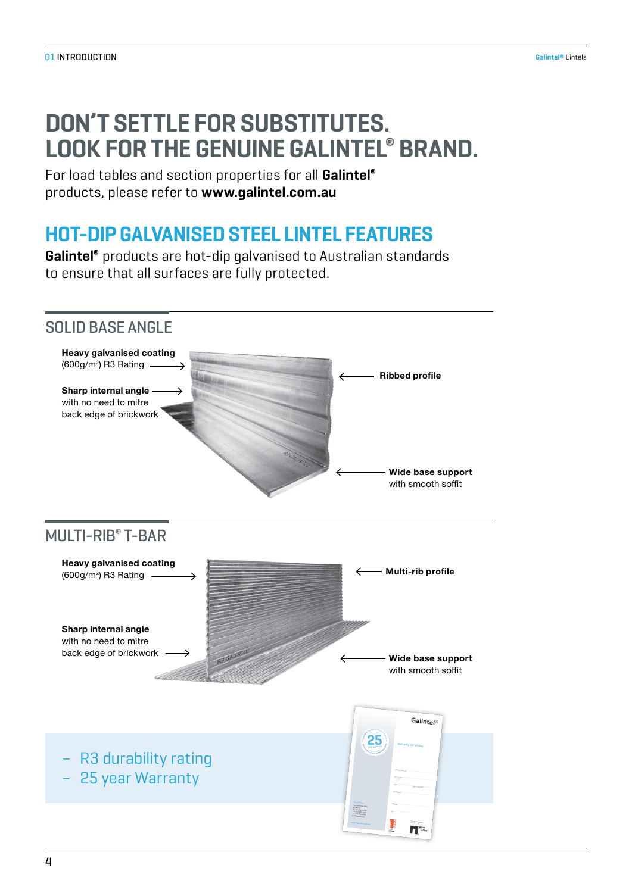# **DON'T SETTLE FOR SUBSTITUTES. LOOK FOR THE GENUINE GALINTEL® BRAND.**

For load tables and section properties for all **Galintel®** products, please refer to **www.galintel.com.au**

# **HOT-DIP GALVANISED STEEL LINTEL FEATURES**

**Galintel®** products are hot-dip galvanised to Australian standards to ensure that all surfaces are fully protected.

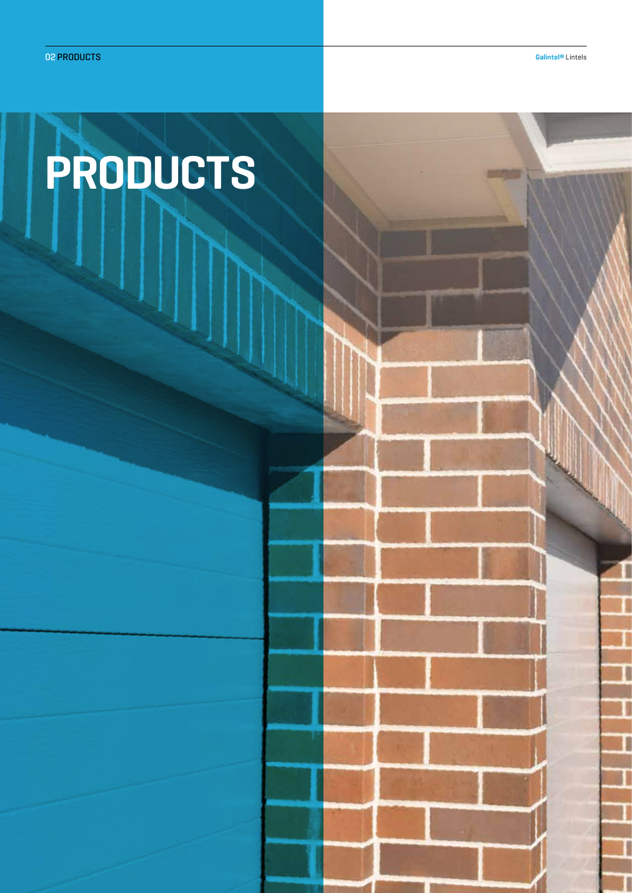Τ

П

**SERVICE** 

# **PRODUCTS**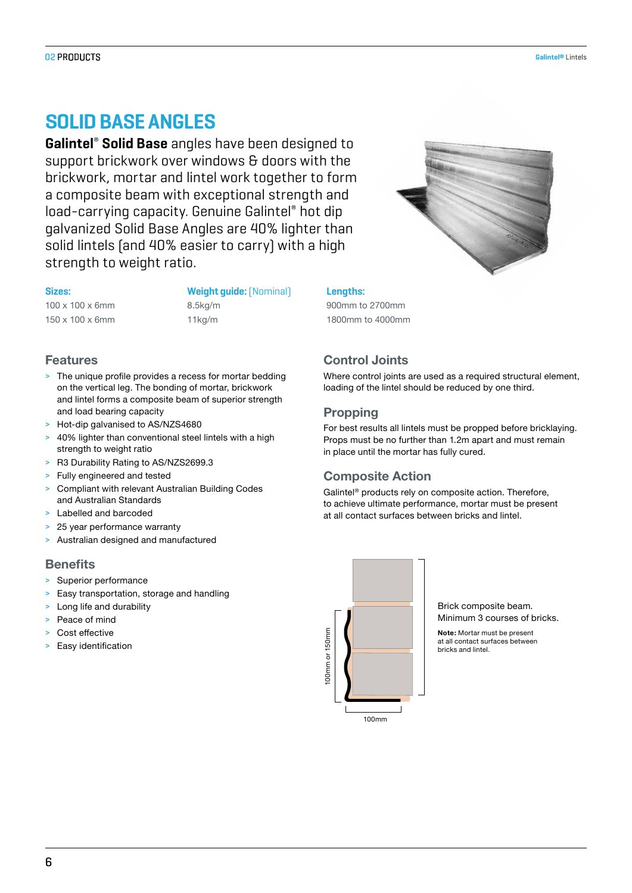## **O**LI**D BASE ANGLES**

**Galintel**®  **Solid Base** angles have been designed to support brickwork over windows & doors with the brickwork, mortar and lintel work together to form a composite beam with exceptional strength and load-carrying capacity. Genuine Galintel® hot dip galvanized Solid Base Angles are 40% lighter than solid lintels (and 40% easier to carry) with a high strength to weight ratio.

**Sizes: Weight guide:**(Nominal) **Lengths:**  100 x 100 x 6mm 8.5kg/m 900mm to 2700mm 150 x 100 x 6mm 11kg/m 1800mm to 4000mm

# **Features**

- > The unique profile provides a recess for mortar bedding on the vertical leg. The bonding of mortar, brickwork and lintel forms a composite beam of superior strength and load bearing capacity
- > Hot-dip galvanised to AS/NZS4680
- 40% lighter than conventional steel lintels with a high strength to weight ratio
- > R3 Durability Rating to AS/NZS2699.3
- > Fully engineered and tested
- > Compliant with relevant Australian Building Codes and Australian Standards
- > Labelled and barcoded
- > 25 year performance warranty
- > Australian designed and manufactured

#### **Benefits**

- > Superior performance
- > Easy transportation, storage and handling
- > Long life and durability
- > Peace of mind
- Cost effective
- > Easy identification



## **Control Joints**

Where control joints are used as a required structural element, loading of the lintel should be reduced by one third.

#### **Propping**

For best results all lintels must be propped before bricklaying. Props must be no further than 1.2m apart and must remain in place until the mortar has fully cured.

#### **Composite Action**

Galintel® products rely on composite action. Therefore, to achieve ultimate performance, mortar must be present at all contact surfaces between bricks and lintel.



Brick composite beam. Minimum 3 courses of bricks.

**Note:** Mortar must be present at all contact surfaces between bricks and lintel.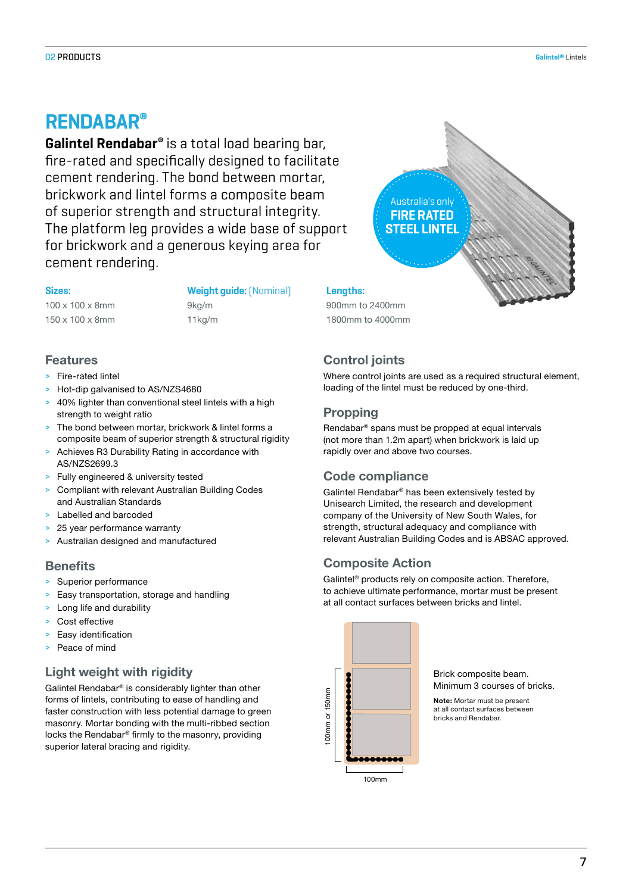## ENAA**®**

**Galintel Rendabar®** is a total load bearing bar, fire-rated and specifically designed to facilitate cement rendering. The bond between mortar, brickwork and lintel forms a composite beam of superior strength and structural integrity. The platform leg provides a wide base of support for brickwork and a generous keying area for cement rendering.

**Sizes: Weight guide:**(Nominal) **Lengths:**  100 x 100 x 8mm 9kg/m 900mm to 2400mm 150 x 100 x 8mm 11kg/m 1800mm to 4000mm

#### **Features**

- > Fire-rated lintel
- > Hot-dip galvanised to AS/NZS4680
- 40% lighter than conventional steel lintels with a high strength to weight ratio
- > The bond between mortar, brickwork & lintel forms a composite beam of superior strength & structural rigidity
- Achieves R3 Durability Rating in accordance with AS/NZS2699.3
- > Fully engineered & university tested
- > Compliant with relevant Australian Building Codes and Australian Standards
- Labelled and barcoded
- 25 year performance warranty
- > Australian designed and manufactured

#### **Benefits**

- > Superior performance
- Easy transportation, storage and handling
- > Long life and durability
- > Cost effective
- Easy identification
- Peace of mind

#### **Light weight with rigidity**

Galintel Rendabar® is considerably lighter than other forms of lintels, contributing to ease of handling and faster construction with less potential damage to green masonry. Mortar bonding with the multi-ribbed section locks the Rendabar® firmly to the masonry, providing superior lateral bracing and rigidity.



## **Control joints**

Where control joints are used as a required structural element, loading of the lintel must be reduced by one-third.

#### **Propping**

Rendabar® spans must be propped at equal intervals (not more than 1.2m apart) when brickwork is laid up rapidly over and above two courses.

## **Code compliance**

Galintel Rendabar® has been extensively tested by Unisearch Limited, the research and development company of the University of New South Wales, for strength, structural adequacy and compliance with relevant Australian Building Codes and is ABSAC approved.

#### **Composite Action**

Galintel® products rely on composite action. Therefore, to achieve ultimate performance, mortar must be present at all contact surfaces between bricks and lintel.

> Brick composite beam. Minimum 3 courses of bricks.

**Note:** Mortar must be present at all contact surfaces between bricks and Rendabar.

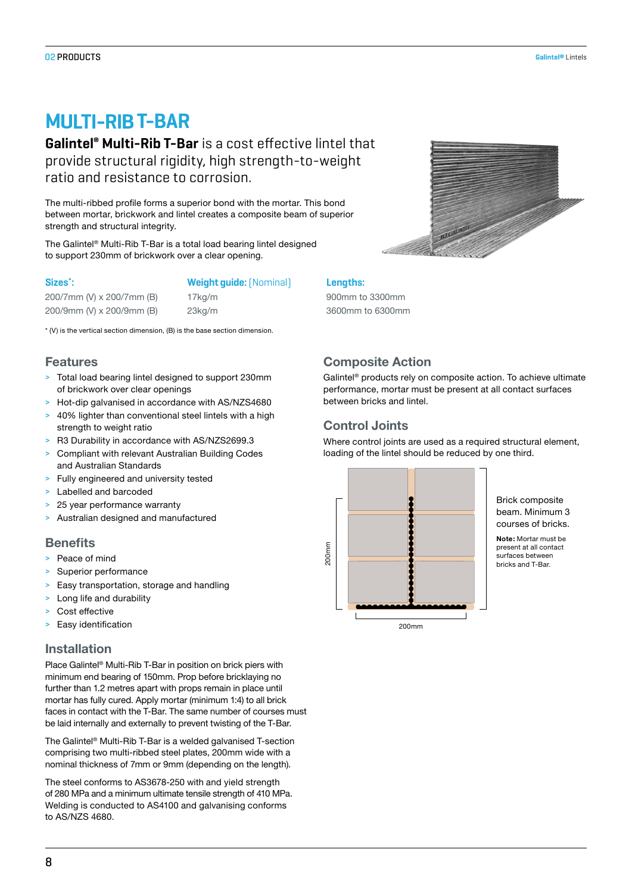# **MULTI-RIB T-BAR**

**Galintel® Multi-Rib T-Bar** is a cost effective lintel that provide structural rigidity, high strength-to-weight ratio and resistance to corrosion.

The multi-ribbed profile forms a superior bond with the mortar. This bond between mortar, brickwork and lintel creates a composite beam of superior strength and structural integrity.

The Galintel® Multi-Rib T-Bar is a total load bearing lintel designed to support 230mm of brickwork over a clear opening.

#### **Sizes\***

#### **: Weight guide:**(Nominal) **Lengths:**

200/7mm (V) x 200/7mm (B) 17kg/m 900mm to 3300mm 200/9mm (V) x 200/9mm (B) 23kg/m 3600mm to 6300mm

\* (V) is the vertical section dimension, (B) is the base section dimension.

#### **Features**

- > Total load bearing lintel designed to support 230mm of brickwork over clear openings
- > Hot-dip galvanised in accordance with AS/NZS4680
- 40% lighter than conventional steel lintels with a high strength to weight ratio
- > R3 Durability in accordance with AS/NZS2699.3
- > Compliant with relevant Australian Building Codes and Australian Standards
- > Fully engineered and university tested
- > Labelled and barcoded
- 25 year performance warranty
- > Australian designed and manufactured

#### **Benefits**

- > Peace of mind
- Superior performance
- > Easy transportation, storage and handling
- > Long life and durability
- > Cost effective
- > Easy identification

#### **Installation**

Place Galintel® Multi-Rib T-Bar in position on brick piers with minimum end bearing of 150mm. Prop before bricklaying no further than 1.2 metres apart with props remain in place until mortar has fully cured. Apply mortar (minimum 1:4) to all brick faces in contact with the T-Bar. The same number of courses must be laid internally and externally to prevent twisting of the T-Bar.

The Galintel® Multi-Rib T-Bar is a welded galvanised T-section comprising two multi-ribbed steel plates, 200mm wide with a nominal thickness of 7mm or 9mm (depending on the length).

The steel conforms to AS3678-250 with and yield strength of 280 MPa and a minimum ultimate tensile strength of 410 MPa. Welding is conducted to AS4100 and galvanising conforms to AS/NZS 4680.



## **Composite Action**

Galintel® products rely on composite action. To achieve ultimate performance, mortar must be present at all contact surfaces between bricks and lintel.

#### **Control Joints**

Where control joints are used as a required structural element, loading of the lintel should be reduced by one third.



Brick composite beam. Minimum 3 courses of bricks.

**Note:** Mortar must be present at all contact .<br>surfaces between bricks and T-Bar.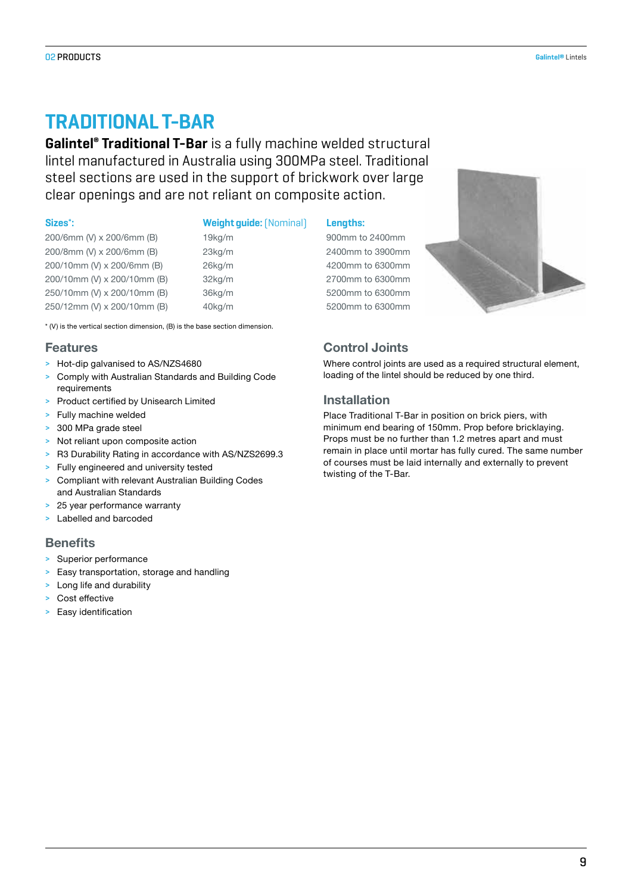## **TRADITIONAL T-BAR**

**Galintel® Traditional T-Bar** is a fully machine welded structural lintel manufactured in Australia using 300MPa steel. Traditional steel sections are used in the support of brickwork over large clear openings and are not reliant on composite action.

#### **Sizes\***

| 200/6mm (V) x 200/6mm (B)   |
|-----------------------------|
| 200/8mm (V) x 200/6mm (B)   |
| 200/10mm (V) x 200/6mm (B)  |
| 200/10mm (V) x 200/10mm (B) |
| 250/10mm (V) x 200/10mm (B) |
| 250/12mm (V) x 200/10mm (B) |

#### **: Weight guide:**(Nominal) **Lengths:**

200/6mm (V) x 200/6mm (B) 19kg/m 900mm to 2400mm 23kg/m 2400mm to 3900mm 26kg/m 4200mm to 6300mm 32kg/m 2700mm to 6300mm 250/10mm (V) x 200/10mm (B) 36kg/m 5200mm to 6300mm 250/12mm (V) x 200/10mm (B) 40kg/m 5200mm to 6300mm



## **Control Joints**

Where control joints are used as a required structural element, loading of the lintel should be reduced by one third.

#### **Installation**

Place Traditional T-Bar in position on brick piers, with minimum end bearing of 150mm. Prop before bricklaying. Props must be no further than 1.2 metres apart and must remain in place until mortar has fully cured. The same number of courses must be laid internally and externally to prevent twisting of the T-Bar.

\* (V) is the vertical section dimension, (B) is the base section dimension.

#### **Features**

- > Hot-dip galvanised to AS/NZS4680
- > Comply with Australian Standards and Building Code requirements
- > Product certified by Unisearch Limited
- > Fully machine welded
- > 300 MPa grade steel
- > Not reliant upon composite action
- > R3 Durability Rating in accordance with AS/NZS2699.3
- > Fully engineered and university tested
- > Compliant with relevant Australian Building Codes and Australian Standards
- > 25 year performance warranty
- > Labelled and barcoded

#### **Benefits**

- > Superior performance
- > Easy transportation, storage and handling
- > Long life and durability
- > Cost effective
- > Easy identification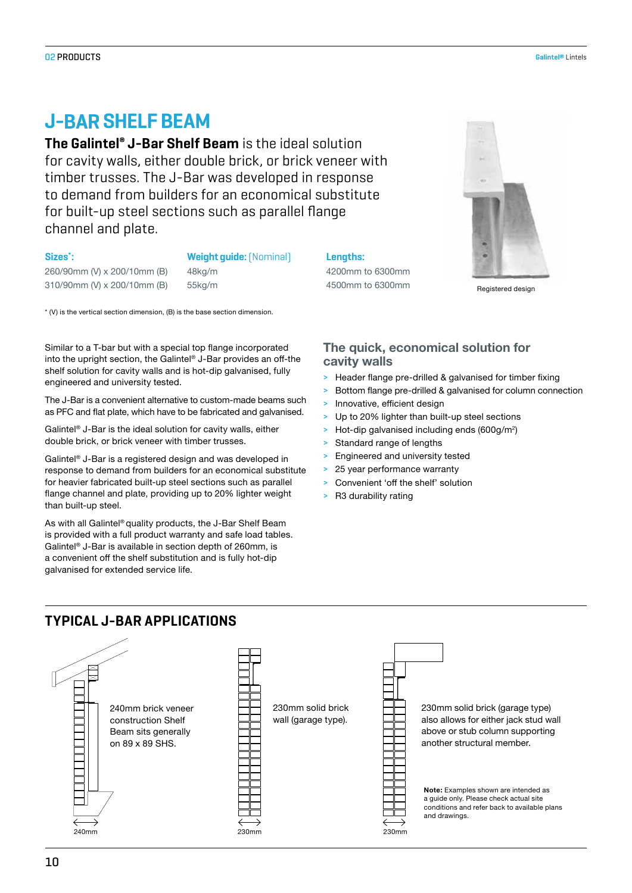## **J- SHELF BEAM**

**The Galintel® J-Bar Shelf Beam** is the ideal solution for cavity walls, either double brick, or brick veneer with timber trusses. The J-Bar was developed in response to demand from builders for an economical substitute for built-up steel sections such as parallel flange channel and plate.

#### **Sizes\***

#### **: Weight guide:**(Nominal) **Lengths:**

260/90mm (V) x 200/10mm (B) 48kg/m 4200mm to 6300mm 310/90mm (V) x 200/10mm (B) 55kg/m 4500mm to 6300mm to 6300mm

\* (V) is the vertical section dimension, (B) is the base section dimension.

Similar to a T-bar but with a special top flange incorporated into the upright section, the Galintel® J-Bar provides an off-the shelf solution for cavity walls and is hot-dip galvanised, fully engineered and university tested.

The J-Bar is a convenient alternative to custom-made beams such as PFC and flat plate, which have to be fabricated and galvanised.

Galintel® J-Bar is the ideal solution for cavity walls, either double brick, or brick veneer with timber trusses.

Galintel® J-Bar is a registered design and was developed in response to demand from builders for an economical substitute for heavier fabricated built-up steel sections such as parallel flange channel and plate, providing up to 20% lighter weight than built-up steel.

As with all Galintel® quality products, the J-Bar Shelf Beam is provided with a full product warranty and safe load tables. Galintel® J-Bar is available in section depth of 260mm, is a convenient off the shelf substitution and is fully hot-dip galvanised for extended service life.



#### **The quick, economical solution for cavity walls**

- > Header flange pre-drilled & galvanised for timber fixing
- > Bottom flange pre-drilled & galvanised for column connection
- Innovative, efficient design
- > Up to 20% lighter than built-up steel sections
- > Hot-dip galvanised including ends (600g/m<sup>2</sup>)
- > Standard range of lengths
- > Engineered and university tested
- 25 year performance warranty
- Convenient 'off the shelf' solution
- > R3 durability rating

## **TYPICAL J-BAR APPLICATIONS**

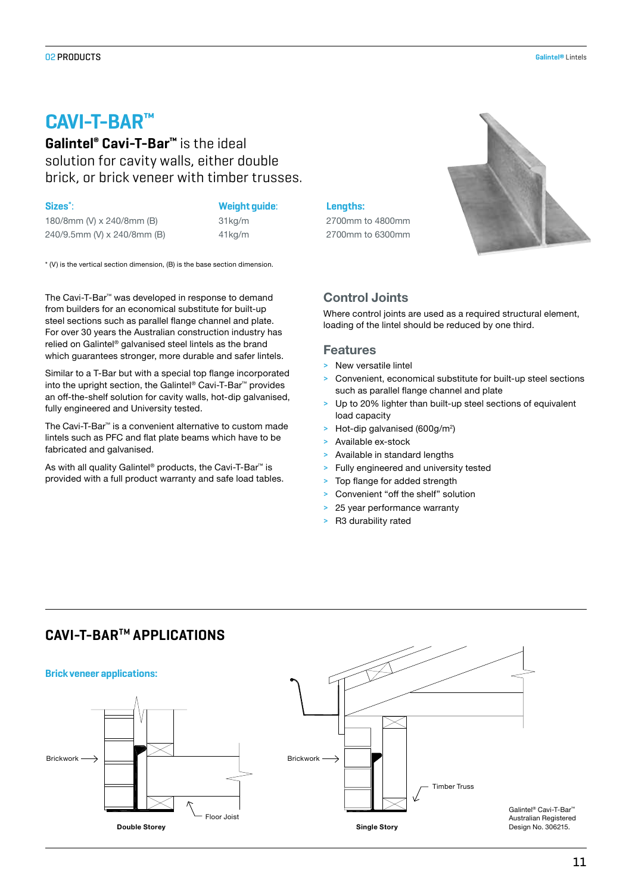## C**V-T-BAR™**

**Galintel® Cavi-T-Bar™** is the ideal solution for cavity walls, either double brick, or brick veneer with timber trusses.

#### **Sizes\***

180/8mm (V) x 240/8mm (B) 31kg/m 2700mm to 4800mm 240/9.5mm (V) x 240/8mm (B) 41kg/m 2700mm to 6300mm

#### : **Weight guide**: **Lengths:**

\* (V) is the vertical section dimension, (B) is the base section dimension.

The Cavi-T-Bar™ was developed in response to demand from builders for an economical substitute for built-up steel sections such as parallel flange channel and plate. For over 30 years the Australian construction industry has relied on Galintel® galvanised steel lintels as the brand which guarantees stronger, more durable and safer lintels.

Similar to a T-Bar but with a special top flange incorporated into the upright section, the Galintel® Cavi-T-Bar™ provides an off-the-shelf solution for cavity walls, hot-dip galvanised, fully engineered and University tested.

The Cavi-T-Bar™ is a convenient alternative to custom made lintels such as PFC and flat plate beams which have to be fabricated and galvanised.

As with all quality Galintel® products, the Cavi-T-Bar™ is provided with a full product warranty and safe load tables.

## **Control Joints**

Where control joints are used as a required structural element, loading of the lintel should be reduced by one third.

#### **Features**

- > New versatile lintel
- > Convenient, economical substitute for built-up steel sections such as parallel flange channel and plate
- > Up to 20% lighter than built-up steel sections of equivalent load capacity
- > Hot-dip galvanised (600g/m<sup>2</sup>)
- > Available ex-stock
- Available in standard lengths
- Fully engineered and university tested
- Top flange for added strength
- Convenient "off the shelf" solution
- 25 year performance warranty
- > R3 durability rated

## **CAVI-T-BARTM APPLICATIONS**

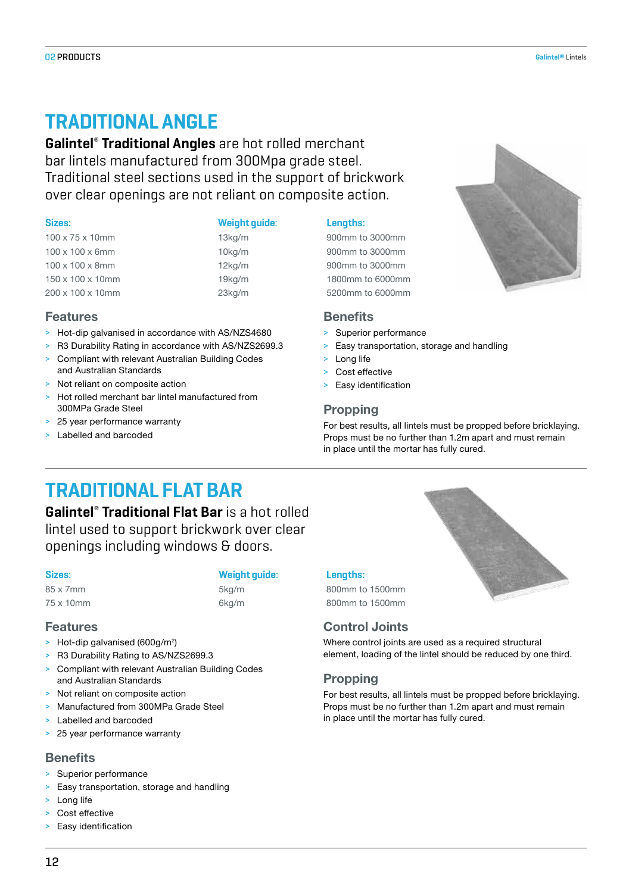## **TRADITIONAL ANGLE**

**Galintel**®  **Traditional Angles** are hot rolled merchant bar lintels manufactured from 300Mpa grade steel. Traditional steel sections used in the support of brickwork over clear openings are not reliant on composite action.

**Features**

| $100 \times 75 \times 10$ mm  |  |
|-------------------------------|--|
| $100 \times 100 \times 6$ mm  |  |
| $100 \times 100 \times 8$ mm  |  |
| $150 \times 100 \times 10$ mm |  |
| $200 \times 100 \times 10$ mm |  |

and Australian Standards > Not reliant on composite action

300MPa Grade Steel > 25 year performance warranty Labelled and barcoded

#### **Sizes**: **Weight guide**: **Lengths:**

13kg/m 900mm to 3000mm 10kg/m 900mm to 3000mm 12kg/m 900mm to 3000mm 150 x 100 x 10mm 19kg/m 1800mm to 6000mm 23kg/m 5200mm to 6000mm



#### **Benefits**

- > Superior performance
- > Easy transportation, storage and handling
- > Long life
- Cost effective
- Easy identification

#### **Propping**

For best results, all lintels must be propped before bricklaying. Props must be no further than 1.2m apart and must remain in place until the mortar has fully cured.

# **TRADITIONAL FLAT BAR**

> Hot-dip galvanised in accordance with AS/NZS4680 > R3 Durability Rating in accordance with AS/NZS2699.3 > Compliant with relevant Australian Building Codes

> Hot rolled merchant bar lintel manufactured from

**Galintel**®  **Traditional Flat Bar** is a hot rolled lintel used to support brickwork over clear openings including windows & doors.

#### **Sizes**: **Weight guide**: **Lengths:**

#### **Features**

- > Hot-dip galvanised (600g/m<sup>2</sup>)
- > R3 Durability Rating to AS/NZS2699.3
- > Compliant with relevant Australian Building Codes and Australian Standards
- Not reliant on composite action
- > Manufactured from 300MPa Grade Steel
- Labelled and barcoded
- > 25 year performance warranty

## **Benefits**

- Superior performance
- > Easy transportation, storage and handling
- > Long life
- > Cost effective
- > Easy identification

85 x 7mm 5kg/m 800mm to 1500mm 75 x 10mm 6kg/m 800mm to 1500mm

## **Control Joints**

Where control joints are used as a required structural element, loading of the lintel should be reduced by one third.

## **Propping**

For best results, all lintels must be propped before bricklaying. Props must be no further than 1.2m apart and must remain in place until the mortar has fully cured.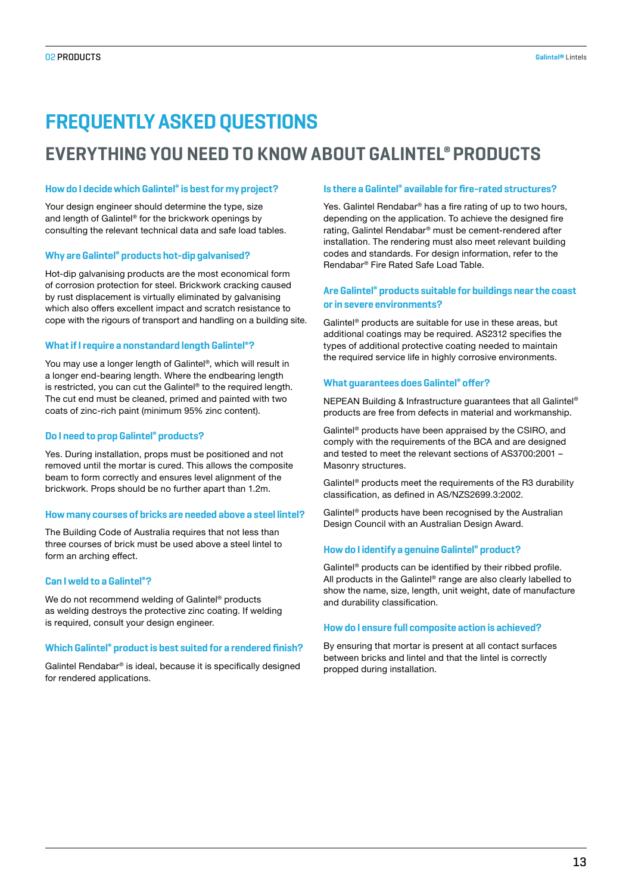# **FREQUENTLY ASKED QUESTIONS**

## **EVERYTHING YOU NEED TO KNOW ABOUT GALINTEL® PRODUCTS**

#### **How do I decide which Galintel® is best for my project?**

Your design engineer should determine the type, size and length of Galintel® for the brickwork openings by consulting the relevant technical data and safe load tables.

#### **Why are Galintel® products hot-dip galvanised?**

Hot-dip galvanising products are the most economical form of corrosion protection for steel. Brickwork cracking caused by rust displacement is virtually eliminated by galvanising which also offers excellent impact and scratch resistance to cope with the rigours of transport and handling on a building site.

#### **What if I require a nonstandard length Galintel®?**

You may use a longer length of Galintel®, which will result in a longer end-bearing length. Where the endbearing length is restricted, you can cut the Galintel® to the required length. The cut end must be cleaned, primed and painted with two coats of zinc-rich paint (minimum 95% zinc content).

#### **Do I need to prop Galintel® products?**

Yes. During installation, props must be positioned and not removed until the mortar is cured. This allows the composite beam to form correctly and ensures level alignment of the brickwork. Props should be no further apart than 1.2m.

#### **How many courses of bricks are needed above a steel lintel?**

The Building Code of Australia requires that not less than three courses of brick must be used above a steel lintel to form an arching effect.

#### **Can I weld to a Galintel®?**

We do not recommend welding of Galintel<sup>®</sup> products as welding destroys the protective zinc coating. If welding is required, consult your design engineer.

#### **Which Galintel® product is best suited for a rendered finish?**

Galintel Rendabar® is ideal, because it is specifically designed for rendered applications.

#### **Is there a Galintel® available for fire-rated structures?**

Yes. Galintel Rendabar® has a fire rating of up to two hours, depending on the application. To achieve the designed fire rating, Galintel Rendabar® must be cement-rendered after installation. The rendering must also meet relevant building codes and standards. For design information, refer to the Rendabar® Fire Rated Safe Load Table.

#### **Are Galintel® products suitable for buildings near the coast or in severe environments?**

Galintel® products are suitable for use in these areas, but additional coatings may be required. AS2312 specifies the types of additional protective coating needed to maintain the required service life in highly corrosive environments.

#### **What guarantees does Galintel® offer?**

NEPEAN Building & Infrastructure guarantees that all Galintel® products are free from defects in material and workmanship.

Galintel® products have been appraised by the CSIRO, and comply with the requirements of the BCA and are designed and tested to meet the relevant sections of AS3700:2001 – Masonry structures.

Galintel® products meet the requirements of the R3 durability classification, as defined in AS/NZS2699.3:2002.

Galintel® products have been recognised by the Australian Design Council with an Australian Design Award.

#### **How do I identify a genuine Galintel® product?**

Galintel® products can be identified by their ribbed profile. All products in the Galintel® range are also clearly labelled to show the name, size, length, unit weight, date of manufacture and durability classification.

#### **How do I ensure full composite action is achieved?**

By ensuring that mortar is present at all contact surfaces between bricks and lintel and that the lintel is correctly propped during installation.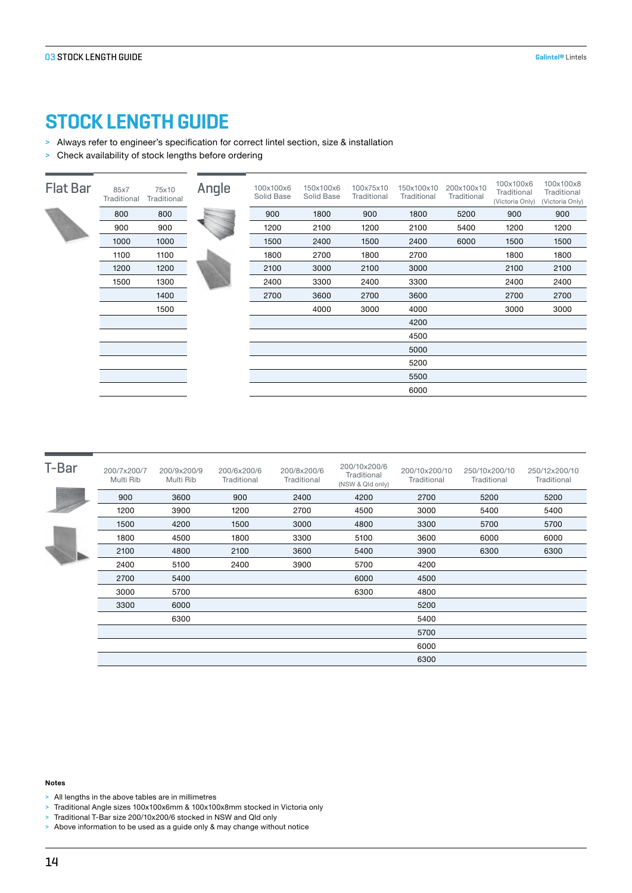## **STOCK LENGTH GUIDE**

- > Always refer to engineer's specification for correct lintel section, size & installation
- > Check availability of stock lengths before ordering

| <b>Flat Bar</b> | 85x7<br>Traditional | 75x10<br>Traditional | Angle | 100x100x6<br>Solid Base | 150x100x6<br>Solid Base | 100x75x10<br>Traditional | 150x100x10<br>Traditional | 200x100x10<br>Traditional | 100x100x6<br>Traditional<br>(Victoria Only) | 100x100x8<br>Traditional<br>(Victoria Only) |
|-----------------|---------------------|----------------------|-------|-------------------------|-------------------------|--------------------------|---------------------------|---------------------------|---------------------------------------------|---------------------------------------------|
|                 | 800                 | 800                  |       | 900                     | 1800                    | 900                      | 1800                      | 5200                      | 900                                         | 900                                         |
|                 | 900                 | 900                  |       | 1200                    | 2100                    | 1200                     | 2100                      | 5400                      | 1200                                        | 1200                                        |
|                 | 1000                | 1000                 |       | 1500                    | 2400                    | 1500                     | 2400                      | 6000                      | 1500                                        | 1500                                        |
|                 | 1100                | 1100                 |       | 1800                    | 2700                    | 1800                     | 2700                      |                           | 1800                                        | 1800                                        |
|                 | 1200                | 1200                 |       | 2100                    | 3000                    | 2100                     | 3000                      |                           | 2100                                        | 2100                                        |
|                 | 1500                | 1300                 |       | 2400                    | 3300                    | 2400                     | 3300                      |                           | 2400                                        | 2400                                        |
|                 |                     | 1400                 |       | 2700                    | 3600                    | 2700                     | 3600                      |                           | 2700                                        | 2700                                        |
|                 |                     | 1500                 |       |                         | 4000                    | 3000                     | 4000                      |                           | 3000                                        | 3000                                        |
|                 |                     |                      |       |                         |                         |                          | 4200                      |                           |                                             |                                             |
|                 |                     |                      |       |                         |                         |                          | 4500                      |                           |                                             |                                             |
|                 |                     |                      |       |                         |                         |                          | 5000                      |                           |                                             |                                             |
|                 |                     |                      |       |                         |                         |                          | 5200                      |                           |                                             |                                             |
|                 |                     |                      |       |                         |                         |                          | 5500                      |                           |                                             |                                             |
|                 |                     |                      |       |                         |                         |                          | 6000                      |                           |                                             |                                             |

| T-Bar | 200/7x200/7<br>Multi Rib | 200/9x200/9<br>Multi Rib | 200/6x200/6<br>Traditional | 200/8x200/6<br>Traditional | 200/10x200/6<br>Traditional<br>(NSW & Qld only) | 200/10x200/10<br>Traditional | 250/10x200/10<br>Traditional | 250/12x200/10<br>Traditional |
|-------|--------------------------|--------------------------|----------------------------|----------------------------|-------------------------------------------------|------------------------------|------------------------------|------------------------------|
|       | 900                      | 3600                     | 900                        | 2400                       | 4200                                            | 2700                         | 5200                         | 5200                         |
|       | 1200                     | 3900                     | 1200                       | 2700                       | 4500                                            | 3000                         | 5400                         | 5400                         |
|       | 1500                     | 4200                     | 1500                       | 3000                       | 4800                                            | 3300                         | 5700                         | 5700                         |
|       | 1800                     | 4500                     | 1800                       | 3300                       | 5100                                            | 3600                         | 6000                         | 6000                         |
|       | 2100                     | 4800                     | 2100                       | 3600                       | 5400                                            | 3900                         | 6300                         | 6300                         |
|       | 2400                     | 5100                     | 2400                       | 3900                       | 5700                                            | 4200                         |                              |                              |
|       | 2700                     | 5400                     |                            |                            | 6000                                            | 4500                         |                              |                              |
|       | 3000                     | 5700                     |                            |                            | 6300                                            | 4800                         |                              |                              |
|       | 3300                     | 6000                     |                            |                            |                                                 | 5200                         |                              |                              |
|       |                          | 6300                     |                            |                            |                                                 | 5400                         |                              |                              |
|       |                          |                          |                            |                            |                                                 | 5700                         |                              |                              |
|       |                          |                          |                            |                            |                                                 | 6000                         |                              |                              |
|       |                          |                          |                            |                            |                                                 | 6300                         |                              |                              |

#### **Notes**

- > All lengths in the above tables are in millimetres
- > Traditional Angle sizes 100x100x6mm & 100x100x8mm stocked in Victoria only
- > Traditional T-Bar size 200/10x200/6 stocked in NSW and Qld only
- > Above information to be used as a guide only & may change without notice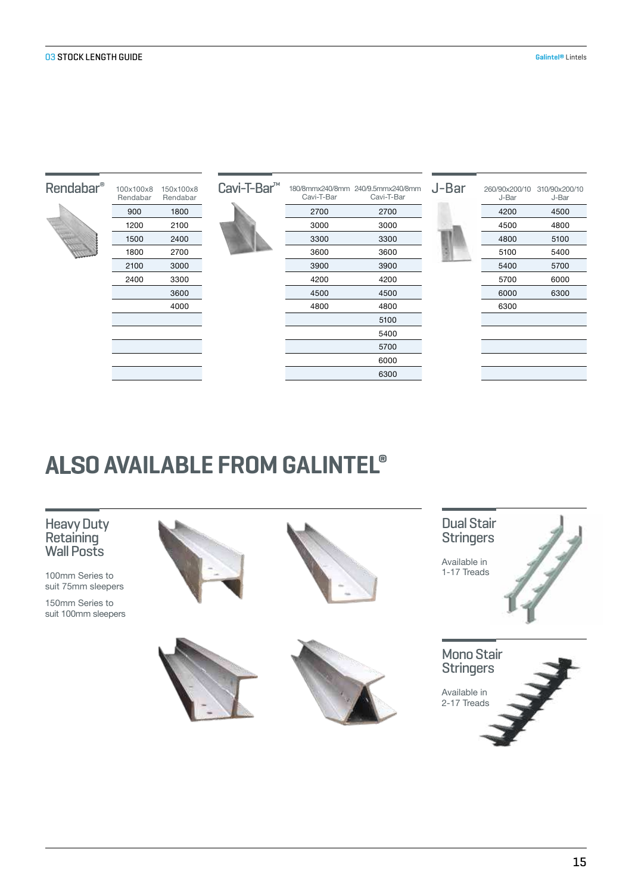| Rendabar <sup>®</sup>                                                                                                | 100x100x8<br>Rendabar | 150x100x8<br>Rendabar | Cavi-T-Bar <sup>™</sup> | Cavi-T-Bar | 180/8mmx240/8mm 240/9.5mmx240/8mm<br>Cavi-T-Bar | J-Bar | 260/90x200/10<br>J-Bar | 310/90x200/10<br>J-Bar |
|----------------------------------------------------------------------------------------------------------------------|-----------------------|-----------------------|-------------------------|------------|-------------------------------------------------|-------|------------------------|------------------------|
|                                                                                                                      | 900                   | 1800                  |                         | 2700       | 2700                                            |       | 4200                   | 4500                   |
|                                                                                                                      | 1200                  | 2100                  |                         | 3000       | 3000                                            |       | 4500                   | 4800                   |
| <b>Contract Contract Contract Contract Contract Contract Contract Contract Contract Contract Contract Contract C</b> | 1500                  | 2400                  |                         | 3300       | 3300                                            |       | 4800                   | 5100                   |
|                                                                                                                      | 1800                  | 2700                  |                         | 3600       | 3600                                            |       | 5100                   | 5400                   |
|                                                                                                                      | 2100                  | 3000                  |                         | 3900       | 3900                                            |       | 5400                   | 5700                   |
|                                                                                                                      | 2400                  | 3300                  |                         | 4200       | 4200                                            |       | 5700                   | 6000                   |
|                                                                                                                      |                       | 3600                  |                         | 4500       | 4500                                            |       | 6000                   | 6300                   |
|                                                                                                                      |                       | 4000                  |                         | 4800       | 4800                                            |       | 6300                   |                        |
|                                                                                                                      |                       |                       |                         |            | 5100                                            |       |                        |                        |
|                                                                                                                      |                       |                       |                         |            | 5400                                            |       |                        |                        |
|                                                                                                                      |                       |                       |                         |            | 5700                                            |       |                        |                        |
|                                                                                                                      |                       |                       |                         |            | 6000                                            |       |                        |                        |

6300

# **O AVAILABLE FROM GALINTEL®**